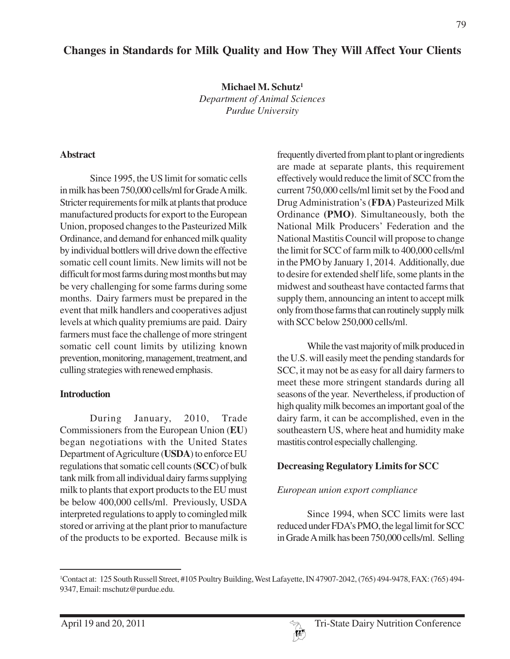# **Changes in Standards for Milk Quality and How They Will Affect Your Clients**

**Michael M. Schutz1** *Department of Animal Sciences Purdue University*

#### **Abstract**

Since 1995, the US limit for somatic cells in milk has been 750,000 cells/ml for Grade A milk. Stricter requirements for milk at plants that produce manufactured products for export to the European Union, proposed changes to the Pasteurized Milk Ordinance, and demand for enhanced milk quality by individual bottlers will drive down the effective somatic cell count limits. New limits will not be difficult for most farms during most months but may be very challenging for some farms during some months. Dairy farmers must be prepared in the event that milk handlers and cooperatives adjust levels at which quality premiums are paid. Dairy farmers must face the challenge of more stringent somatic cell count limits by utilizing known prevention, monitoring, management, treatment, and culling strategies with renewed emphasis.

#### **Introduction**

During January, 2010, Trade Commissioners from the European Union (**EU**) began negotiations with the United States Department of Agriculture (**USDA**) to enforce EU regulations that somatic cell counts (**SCC**) of bulk tank milk from all individual dairy farms supplying milk to plants that export products to the EU must be below 400,000 cells/ml. Previously, USDA interpreted regulations to apply to comingled milk stored or arriving at the plant prior to manufacture of the products to be exported. Because milk is

frequently diverted from plant to plant or ingredients are made at separate plants, this requirement effectively would reduce the limit of SCC from the current 750,000 cells/ml limit set by the Food and Drug Administration's (**FDA**) Pasteurized Milk Ordinance **(PMO)**. Simultaneously, both the National Milk Producers' Federation and the National Mastitis Council will propose to change the limit for SCC of farm milk to 400,000 cells/ml in the PMO by January 1, 2014. Additionally, due to desire for extended shelf life, some plants in the midwest and southeast have contacted farms that supply them, announcing an intent to accept milk only from those farms that can routinely supply milk with SCC below 250,000 cells/ml.

While the vast majority of milk produced in the U.S. will easily meet the pending standards for SCC, it may not be as easy for all dairy farmers to meet these more stringent standards during all seasons of the year. Nevertheless, if production of high quality milk becomes an important goal of the dairy farm, it can be accomplished, even in the southeastern US, where heat and humidity make mastitis control especially challenging.

### **Decreasing Regulatory Limits for SCC**

### *European union export compliance*

Since 1994, when SCC limits were last reduced under FDA's PMO, the legal limit for SCC in Grade A milk has been 750,000 cells/ml. Selling

<sup>1</sup> Contact at: 125 South Russell Street, #105 Poultry Building, West Lafayette, IN 47907-2042, (765) 494-9478, FAX: (765) 494- 9347, Email: mschutz@purdue.edu.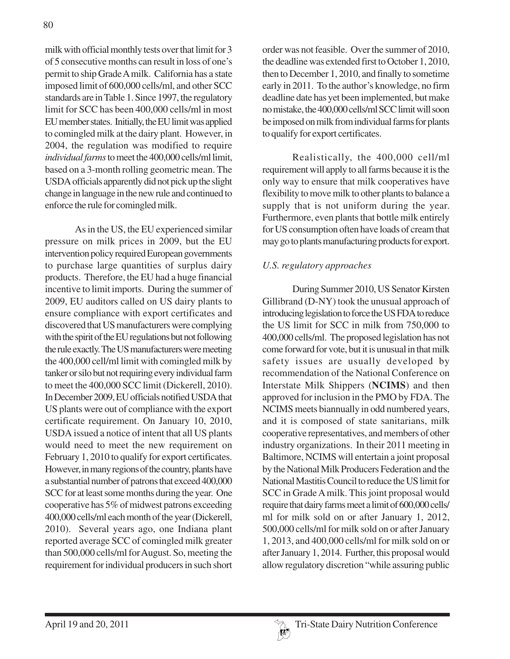milk with official monthly tests over that limit for 3 of 5 consecutive months can result in loss of one's permit to ship Grade A milk. California has a state imposed limit of 600,000 cells/ml, and other SCC standards are in Table 1. Since 1997, the regulatory limit for SCC has been 400,000 cells/ml in most EU member states. Initially, the EU limit was applied to comingled milk at the dairy plant. However, in 2004, the regulation was modified to require *individual farms* to meet the 400,000 cells/ml limit, based on a 3-month rolling geometric mean. The USDA officials apparently did not pick up the slight change in language in the new rule and continued to enforce the rule for comingled milk.

As in the US, the EU experienced similar pressure on milk prices in 2009, but the EU intervention policy required European governments to purchase large quantities of surplus dairy products. Therefore, the EU had a huge financial incentive to limit imports. During the summer of 2009, EU auditors called on US dairy plants to ensure compliance with export certificates and discovered that US manufacturers were complying with the spirit of the EU regulations but not following the rule exactly. The US manufacturers were meeting the 400,000 cell/ml limit with comingled milk by tanker or silo but not requiring every individual farm to meet the 400,000 SCC limit (Dickerell, 2010). In December 2009, EU officials notified USDA that US plants were out of compliance with the export certificate requirement. On January 10, 2010, USDA issued a notice of intent that all US plants would need to meet the new requirement on February 1, 2010 to qualify for export certificates. However, in many regions of the country, plants have a substantial number of patrons that exceed 400,000 SCC for at least some months during the year. One cooperative has 5% of midwest patrons exceeding 400,000 cells/ml each month of the year (Dickerell, 2010). Several years ago, one Indiana plant reported average SCC of comingled milk greater than 500,000 cells/ml for August. So, meeting the requirement for individual producers in such short order was not feasible. Over the summer of 2010, the deadline was extended first to October 1, 2010, then to December 1, 2010, and finally to sometime early in 2011. To the author's knowledge, no firm deadline date has yet been implemented, but make no mistake, the 400,000 cells/ml SCC limit will soon be imposed on milk from individual farms for plants to qualify for export certificates.

Realistically, the 400,000 cell/ml requirement will apply to all farms because it is the only way to ensure that milk cooperatives have flexibility to move milk to other plants to balance a supply that is not uniform during the year. Furthermore, even plants that bottle milk entirely for US consumption often have loads of cream that may go to plants manufacturing products for export.

## *U.S. regulatory approaches*

During Summer 2010, US Senator Kirsten Gillibrand (D-NY) took the unusual approach of introducing legislation to force the US FDA to reduce the US limit for SCC in milk from 750,000 to 400,000 cells/ml. The proposed legislation has not come forward for vote, but it is unusual in that milk safety issues are usually developed by recommendation of the National Conference on Interstate Milk Shippers (**NCIMS**) and then approved for inclusion in the PMO by FDA. The NCIMS meets biannually in odd numbered years, and it is composed of state sanitarians, milk cooperative representatives, and members of other industry organizations. In their 2011 meeting in Baltimore, NCIMS will entertain a joint proposal by the National Milk Producers Federation and the National Mastitis Council to reduce the US limit for SCC in Grade A milk. This joint proposal would require that dairy farms meet a limit of 600,000 cells/ ml for milk sold on or after January 1, 2012, 500,000 cells/ml for milk sold on or after January 1, 2013, and 400,000 cells/ml for milk sold on or after January 1, 2014. Further, this proposal would allow regulatory discretion "while assuring public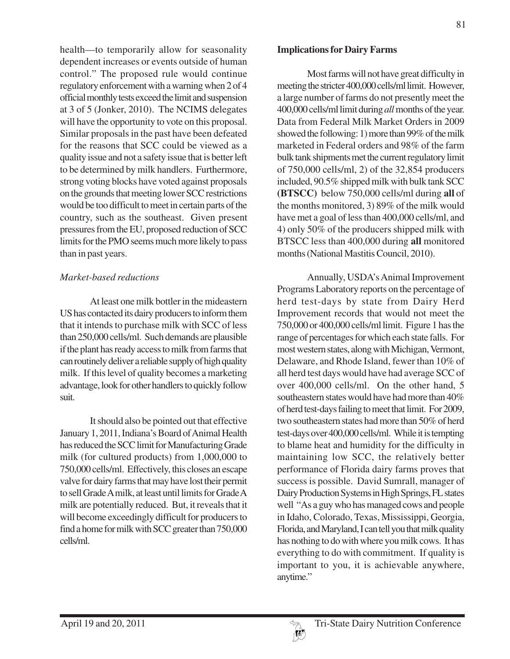health—to temporarily allow for seasonality dependent increases or events outside of human control." The proposed rule would continue regulatory enforcement with a warning when 2 of 4 official monthly tests exceed the limit and suspension at 3 of 5 (Jonker, 2010). The NCIMS delegates will have the opportunity to vote on this proposal. Similar proposals in the past have been defeated for the reasons that SCC could be viewed as a quality issue and not a safety issue that is better left to be determined by milk handlers. Furthermore, strong voting blocks have voted against proposals on the grounds that meeting lower SCC restrictions would be too difficult to meet in certain parts of the country, such as the southeast. Given present pressures from the EU, proposed reduction of SCC limits for the PMO seems much more likely to pass than in past years.

### *Market-based reductions*

At least one milk bottler in the mideastern US has contacted its dairy producers to inform them that it intends to purchase milk with SCC of less than 250,000 cells/ml. Such demands are plausible if the plant has ready access to milk from farms that can routinely deliver a reliable supply of high quality milk. If this level of quality becomes a marketing advantage, look for other handlers to quickly follow suit.

It should also be pointed out that effective January 1, 2011, Indiana's Board of Animal Health has reduced the SCC limit for Manufacturing Grade milk (for cultured products) from 1,000,000 to 750,000 cells/ml. Effectively, this closes an escape valve for dairy farms that may have lost their permit to sell Grade A milk, at least until limits for Grade A milk are potentially reduced. But, it reveals that it will become exceedingly difficult for producers to find a home for milk with SCC greater than 750,000 cells/ml.

Most farms will not have great difficulty in meeting the stricter 400,000 cells/ml limit. However, a large number of farms do not presently meet the 400,000 cells/ml limit during *all* months of the year. Data from Federal Milk Market Orders in 2009 showed the following: 1) more than 99% of the milk marketed in Federal orders and 98% of the farm bulk tank shipments met the current regulatory limit of 750,000 cells/ml, 2) of the 32,854 producers included, 90.5% shipped milk with bulk tank SCC **(BTSCC)** below 750,000 cells/ml during **all** of the months monitored, 3) 89% of the milk would have met a goal of less than 400,000 cells/ml, and 4) only 50% of the producers shipped milk with BTSCC less than 400,000 during **all** monitored months (National Mastitis Council, 2010).

Annually, USDA's Animal Improvement Programs Laboratory reports on the percentage of herd test-days by state from Dairy Herd Improvement records that would not meet the 750,000 or 400,000 cells/ml limit. Figure 1 has the range of percentages for which each state falls. For most western states, along with Michigan, Vermont, Delaware, and Rhode Island, fewer than 10% of all herd test days would have had average SCC of over 400,000 cells/ml. On the other hand, 5 southeastern states would have had more than 40% of herd test-days failing to meet that limit. For 2009, two southeastern states had more than 50% of herd test-days over 400,000 cells/ml. While it is tempting to blame heat and humidity for the difficulty in maintaining low SCC, the relatively better performance of Florida dairy farms proves that success is possible. David Sumrall, manager of Dairy Production Systems in High Springs, FL states well "As a guy who has managed cows and people in Idaho, Colorado, Texas, Mississippi, Georgia, Florida, and Maryland, I can tell you that milk quality has nothing to do with where you milk cows. It has everything to do with commitment. If quality is important to you, it is achievable anywhere, anytime."

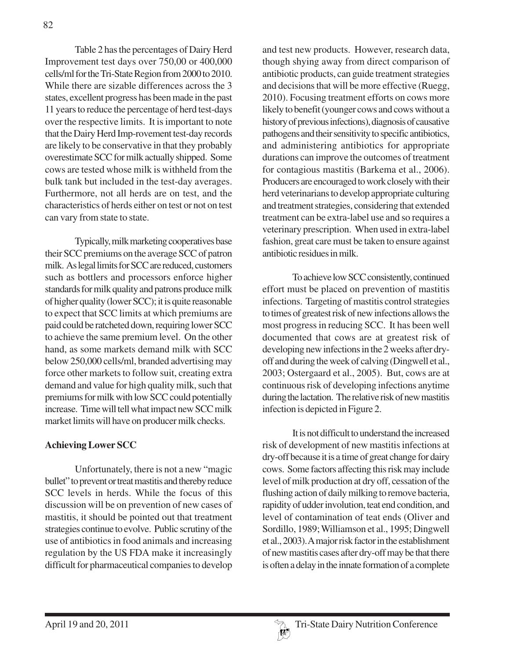Table 2 has the percentages of Dairy Herd Improvement test days over 750,00 or 400,000 cells/ml for the Tri-State Region from 2000 to 2010. While there are sizable differences across the 3 states, excellent progress has been made in the past 11 years to reduce the percentage of herd test-days over the respective limits. It is important to note that the Dairy Herd Imp-rovement test-day records are likely to be conservative in that they probably overestimate SCC for milk actually shipped. Some cows are tested whose milk is withheld from the bulk tank but included in the test-day averages. Furthermore, not all herds are on test, and the characteristics of herds either on test or not on test can vary from state to state.

Typically, milk marketing cooperatives base their SCC premiums on the average SCC of patron milk. As legal limits for SCC are reduced, customers such as bottlers and processors enforce higher standards for milk quality and patrons produce milk of higher quality (lower SCC); it is quite reasonable to expect that SCC limits at which premiums are paid could be ratcheted down, requiring lower SCC to achieve the same premium level. On the other hand, as some markets demand milk with SCC below 250,000 cells/ml, branded advertising may force other markets to follow suit, creating extra demand and value for high quality milk, such that premiums for milk with low SCC could potentially increase. Time will tell what impact new SCC milk market limits will have on producer milk checks.

## **Achieving Lower SCC**

Unfortunately, there is not a new "magic bullet" to prevent or treat mastitis and thereby reduce SCC levels in herds. While the focus of this discussion will be on prevention of new cases of mastitis, it should be pointed out that treatment strategies continue to evolve. Public scrutiny of the use of antibiotics in food animals and increasing regulation by the US FDA make it increasingly difficult for pharmaceutical companies to develop

and test new products. However, research data, though shying away from direct comparison of antibiotic products, can guide treatment strategies and decisions that will be more effective (Ruegg, 2010). Focusing treatment efforts on cows more likely to benefit (younger cows and cows without a history of previous infections), diagnosis of causative pathogens and their sensitivity to specific antibiotics, and administering antibiotics for appropriate durations can improve the outcomes of treatment for contagious mastitis (Barkema et al., 2006). Producers are encouraged to work closely with their herd veterinarians to develop appropriate culturing and treatment strategies, considering that extended treatment can be extra-label use and so requires a veterinary prescription. When used in extra-label fashion, great care must be taken to ensure against antibiotic residues in milk.

To achieve low SCC consistently, continued effort must be placed on prevention of mastitis infections. Targeting of mastitis control strategies to times of greatest risk of new infections allows the most progress in reducing SCC. It has been well documented that cows are at greatest risk of developing new infections in the 2 weeks after dryoff and during the week of calving (Dingwell et al., 2003; Ostergaard et al., 2005). But, cows are at continuous risk of developing infections anytime during the lactation. The relative risk of new mastitis infection is depicted in Figure 2.

It is not difficult to understand the increased risk of development of new mastitis infections at dry-off because it is a time of great change for dairy cows. Some factors affecting this risk may include level of milk production at dry off, cessation of the flushing action of daily milking to remove bacteria, rapidity of udder involution, teat end condition, and level of contamination of teat ends (Oliver and Sordillo, 1989; Williamson et al., 1995; Dingwell et al., 2003). A major risk factor in the establishment of new mastitis cases after dry-off may be that there is often a delay in the innate formation of a complete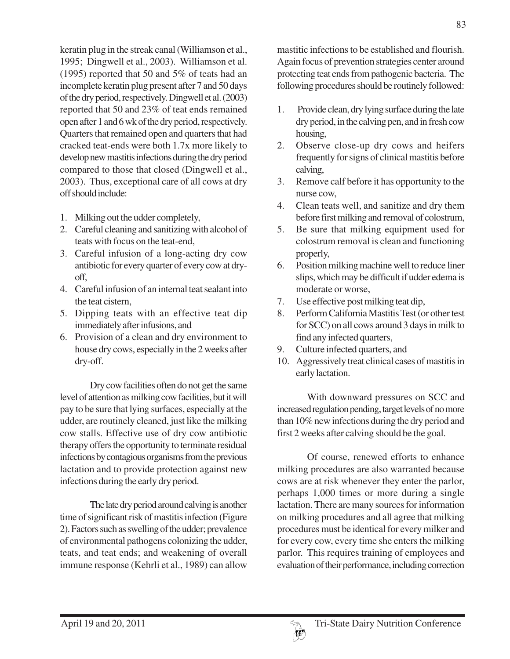keratin plug in the streak canal (Williamson et al., 1995; Dingwell et al., 2003). Williamson et al. (1995) reported that 50 and 5% of teats had an incomplete keratin plug present after 7 and 50 days of the dry period, respectively. Dingwell et al. (2003) reported that 50 and 23% of teat ends remained open after 1 and 6 wk of the dry period, respectively. Quarters that remained open and quarters that had cracked teat-ends were both 1.7x more likely to develop new mastitis infections during the dry period compared to those that closed (Dingwell et al., 2003). Thus, exceptional care of all cows at dry off should include:

- 1. Milking out the udder completely,
- 2. Careful cleaning and sanitizing with alcohol of teats with focus on the teat-end,
- 3. Careful infusion of a long-acting dry cow antibiotic for every quarter of every cow at dryoff,
- 4. Careful infusion of an internal teat sealant into the teat cistern,
- 5. Dipping teats with an effective teat dip immediately after infusions, and
- 6. Provision of a clean and dry environment to house dry cows, especially in the 2 weeks after dry-off.

Dry cow facilities often do not get the same level of attention as milking cow facilities, but it will pay to be sure that lying surfaces, especially at the udder, are routinely cleaned, just like the milking cow stalls. Effective use of dry cow antibiotic therapy offers the opportunity to terminate residual infections by contagious organisms from the previous lactation and to provide protection against new infections during the early dry period.

The late dry period around calving is another time of significant risk of mastitis infection (Figure 2). Factors such as swelling of the udder; prevalence of environmental pathogens colonizing the udder, teats, and teat ends; and weakening of overall immune response (Kehrli et al., 1989) can allow

mastitic infections to be established and flourish. Again focus of prevention strategies center around protecting teat ends from pathogenic bacteria. The following procedures should be routinely followed:

- 1. Provide clean, dry lying surface during the late dry period, in the calving pen, and in fresh cow housing,
- 2. Observe close-up dry cows and heifers frequently for signs of clinical mastitis before calving,
- 3. Remove calf before it has opportunity to the nurse cow,
- 4. Clean teats well, and sanitize and dry them before first milking and removal of colostrum,
- 5. Be sure that milking equipment used for colostrum removal is clean and functioning properly,
- 6. Position milking machine well to reduce liner slips, which may be difficult if udder edema is moderate or worse,
- 7. Use effective post milking teat dip,
- 8. Perform California Mastitis Test (or other test for SCC) on all cows around 3 days in milk to find any infected quarters,
- 9. Culture infected quarters, and
- 10. Aggressively treat clinical cases of mastitis in early lactation.

With downward pressures on SCC and increased regulation pending, target levels of no more than 10% new infections during the dry period and first 2 weeks after calving should be the goal.

Of course, renewed efforts to enhance milking procedures are also warranted because cows are at risk whenever they enter the parlor, perhaps 1,000 times or more during a single lactation. There are many sources for information on milking procedures and all agree that milking procedures must be identical for every milker and for every cow, every time she enters the milking parlor. This requires training of employees and evaluation of their performance, including correction

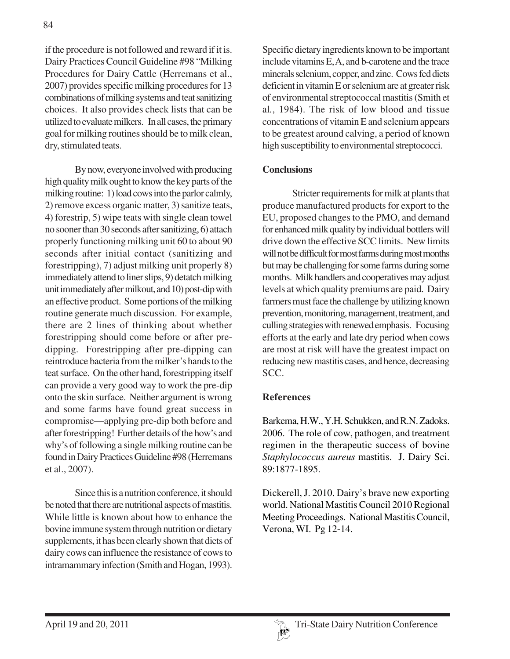if the procedure is not followed and reward if it is. Dairy Practices Council Guideline #98 "Milking Procedures for Dairy Cattle (Herremans et al., 2007) provides specific milking procedures for 13 combinations of milking systems and teat sanitizing choices. It also provides check lists that can be utilized to evaluate milkers. In all cases, the primary goal for milking routines should be to milk clean, dry, stimulated teats.

By now, everyone involved with producing high quality milk ought to know the key parts of the milking routine: 1) load cows into the parlor calmly, 2) remove excess organic matter, 3) sanitize teats, 4) forestrip, 5) wipe teats with single clean towel no sooner than 30 seconds after sanitizing, 6) attach properly functioning milking unit 60 to about 90 seconds after initial contact (sanitizing and forestripping), 7) adjust milking unit properly 8) immediately attend to liner slips, 9) detatch milking unit immediately after milkout, and 10) post-dip with an effective product. Some portions of the milking routine generate much discussion. For example, there are 2 lines of thinking about whether forestripping should come before or after predipping. Forestripping after pre-dipping can reintroduce bacteria from the milker's hands to the teat surface. On the other hand, forestripping itself can provide a very good way to work the pre-dip onto the skin surface. Neither argument is wrong and some farms have found great success in compromise—applying pre-dip both before and after forestripping! Further details of the how's and why's of following a single milking routine can be found in Dairy Practices Guideline #98 (Herremans et al., 2007).

Since this is a nutrition conference, it should be noted that there are nutritional aspects of mastitis. While little is known about how to enhance the bovine immune system through nutrition or dietary supplements, it has been clearly shown that diets of dairy cows can influence the resistance of cows to intramammary infection (Smith and Hogan, 1993).

Specific dietary ingredients known to be important include vitamins E, A, and b-carotene and the trace minerals selenium, copper, and zinc. Cows fed diets deficient in vitamin E or selenium are at greater risk of environmental streptococcal mastitis (Smith et al*.*, 1984). The risk of low blood and tissue concentrations of vitamin E and selenium appears to be greatest around calving, a period of known high susceptibility to environmental streptococci.

### **Conclusions**

Stricter requirements for milk at plants that produce manufactured products for export to the EU, proposed changes to the PMO, and demand for enhanced milk quality by individual bottlers will drive down the effective SCC limits. New limits will not be difficult for most farms during most months but may be challenging for some farms during some months. Milk handlers and cooperatives may adjust levels at which quality premiums are paid. Dairy farmers must face the challenge by utilizing known prevention, monitoring, management, treatment, and culling strategies with renewed emphasis. Focusing efforts at the early and late dry period when cows are most at risk will have the greatest impact on reducing new mastitis cases, and hence, decreasing SCC.

## **References**

Barkema, H.W., Y.H. Schukken, and R.N. Zadoks. 2006. The role of cow, pathogen, and treatment regimen in the therapeutic success of bovine *Staphylococcus aureus* mastitis. J. Dairy Sci. 89:1877-1895.

Dickerell, J. 2010. Dairy's brave new exporting world. National Mastitis Council 2010 Regional Meeting Proceedings. National Mastitis Council, Verona, WI. Pg 12-14.

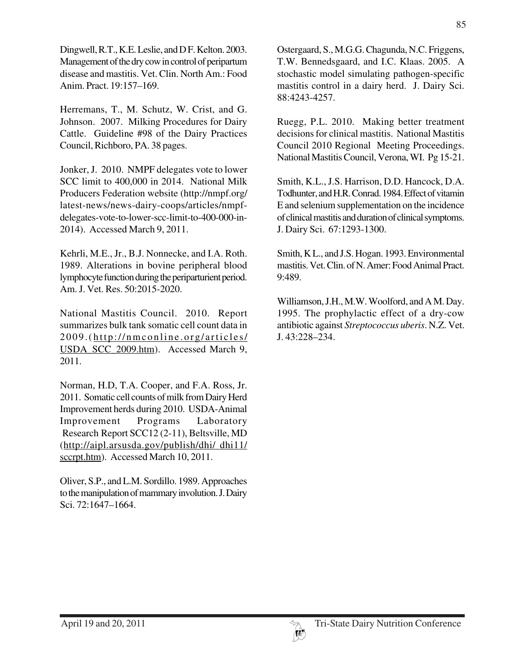Dingwell, R.T., K.E. Leslie, and D F. Kelton. 2003. Management of the dry cow in control of peripartum disease and mastitis. Vet. Clin. North Am.: Food Anim. Pract. 19:157–169.

Herremans, T., M. Schutz, W. Crist, and G. Johnson. 2007. Milking Procedures for Dairy Cattle. Guideline #98 of the Dairy Practices Council, Richboro, PA. 38 pages.

Jonker, J. 2010. NMPF delegates vote to lower SCC limit to 400,000 in 2014. National Milk Producers Federation website (http://nmpf.org/ latest-news/news-dairy-coops/articles/nmpfdelegates-vote-to-lower-scc-limit-to-400-000-in-2014). Accessed March 9, 2011.

Kehrli, M.E., Jr., B.J. Nonnecke, and I.A. Roth. 1989. Alterations in bovine peripheral blood lymphocyte function during the periparturient period. Am. J. Vet. Res. 50:2015-2020.

National Mastitis Council. 2010. Report summarizes bulk tank somatic cell count data in 2009.( http://nmconline.org/articles/ USDA\_SCC\_2009.htm). Accessed March 9, 2011.

Norman, H.D, T.A. Cooper, and F.A. Ross, Jr. 2011. Somatic cell counts of milk from Dairy Herd Improvement herds during 2010. USDA-Animal Improvement Programs Laboratory Research Report SCC12 (2-11), Beltsville, MD (http://aipl.arsusda.gov/publish/dhi/ dhi11/ sccrpt.htm). Accessed March 10, 2011.

Oliver, S.P., and L.M. Sordillo. 1989. Approaches to the manipulation of mammary involution. J. Dairy Sci. 72:1647–1664.

Ostergaard, S., M.G.G. Chagunda, N.C. Friggens, T.W. Bennedsgaard, and I.C. Klaas. 2005. A stochastic model simulating pathogen-specific mastitis control in a dairy herd. J. Dairy Sci. 88:4243-4257.

Ruegg, P.L. 2010. Making better treatment decisions for clinical mastitis. National Mastitis Council 2010 Regional Meeting Proceedings. National Mastitis Council, Verona, WI. Pg 15-21.

Smith, K.L., J.S. Harrison, D.D. Hancock, D.A. Todhunter, and H.R. Conrad. 1984. Effect of vitamin E and selenium supplementation on the incidence of clinical mastitis and duration of clinical symptoms. J. Dairy Sci. 67:1293-1300.

Smith, K L., and J.S. Hogan. 1993. Environmental mastitis. Vet. Clin. of N. Amer: Food Animal Pract. 9:489.

Williamson, J.H., M.W. Woolford, and A M. Day. 1995. The prophylactic effect of a dry-cow antibiotic against *Streptococcus uberis*. N.Z. Vet. J. 43:228–234.

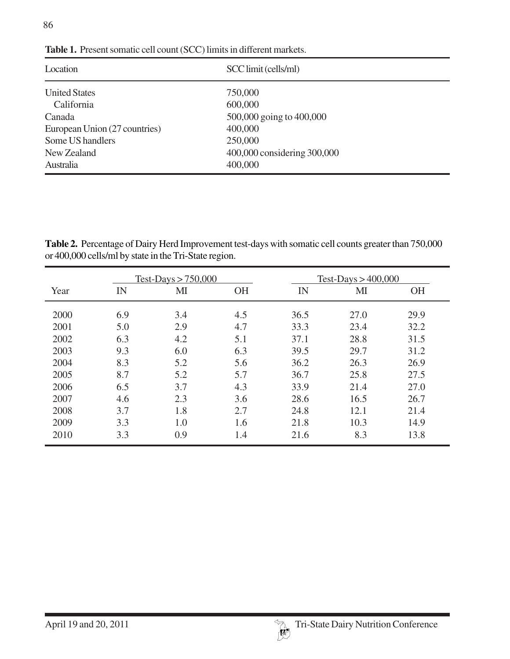86

| Location                      | SCC limit (cells/ml)        |  |  |
|-------------------------------|-----------------------------|--|--|
| <b>United States</b>          | 750,000                     |  |  |
| California                    | 600,000                     |  |  |
| Canada                        | 500,000 going to 400,000    |  |  |
| European Union (27 countries) | 400,000                     |  |  |
| Some US handlers              | 250,000                     |  |  |
| New Zealand                   | 400,000 considering 300,000 |  |  |
| Australia                     | 400,000                     |  |  |

**Table 1.** Present somatic cell count (SCC) limits in different markets.

**Table 2.** Percentage of Dairy Herd Improvement test-days with somatic cell counts greater than 750,000 or 400,000 cells/ml by state in the Tri-State region.

| Year | Test-Days $> 750,000$ |                |           | Test-Days $>400,000$ |              |           |
|------|-----------------------|----------------|-----------|----------------------|--------------|-----------|
|      | IN                    | M <sub>I</sub> | <b>OH</b> | IN                   | $\mathbf{M}$ | <b>OH</b> |
| 2000 | 6.9                   | 3.4            | 4.5       | 36.5                 | 27.0         | 29.9      |
| 2001 | 5.0                   | 2.9            | 4.7       | 33.3                 | 23.4         | 32.2      |
| 2002 | 6.3                   | 4.2            | 5.1       | 37.1                 | 28.8         | 31.5      |
| 2003 | 9.3                   | 6.0            | 6.3       | 39.5                 | 29.7         | 31.2      |
| 2004 | 8.3                   | 5.2            | 5.6       | 36.2                 | 26.3         | 26.9      |
| 2005 | 8.7                   | 5.2            | 5.7       | 36.7                 | 25.8         | 27.5      |
| 2006 | 6.5                   | 3.7            | 4.3       | 33.9                 | 21.4         | 27.0      |
| 2007 | 4.6                   | 2.3            | 3.6       | 28.6                 | 16.5         | 26.7      |
| 2008 | 3.7                   | 1.8            | 2.7       | 24.8                 | 12.1         | 21.4      |
| 2009 | 3.3                   | 1.0            | 1.6       | 21.8                 | 10.3         | 14.9      |
| 2010 | 3.3                   | 0.9            | 1.4       | 21.6                 | 8.3          | 13.8      |